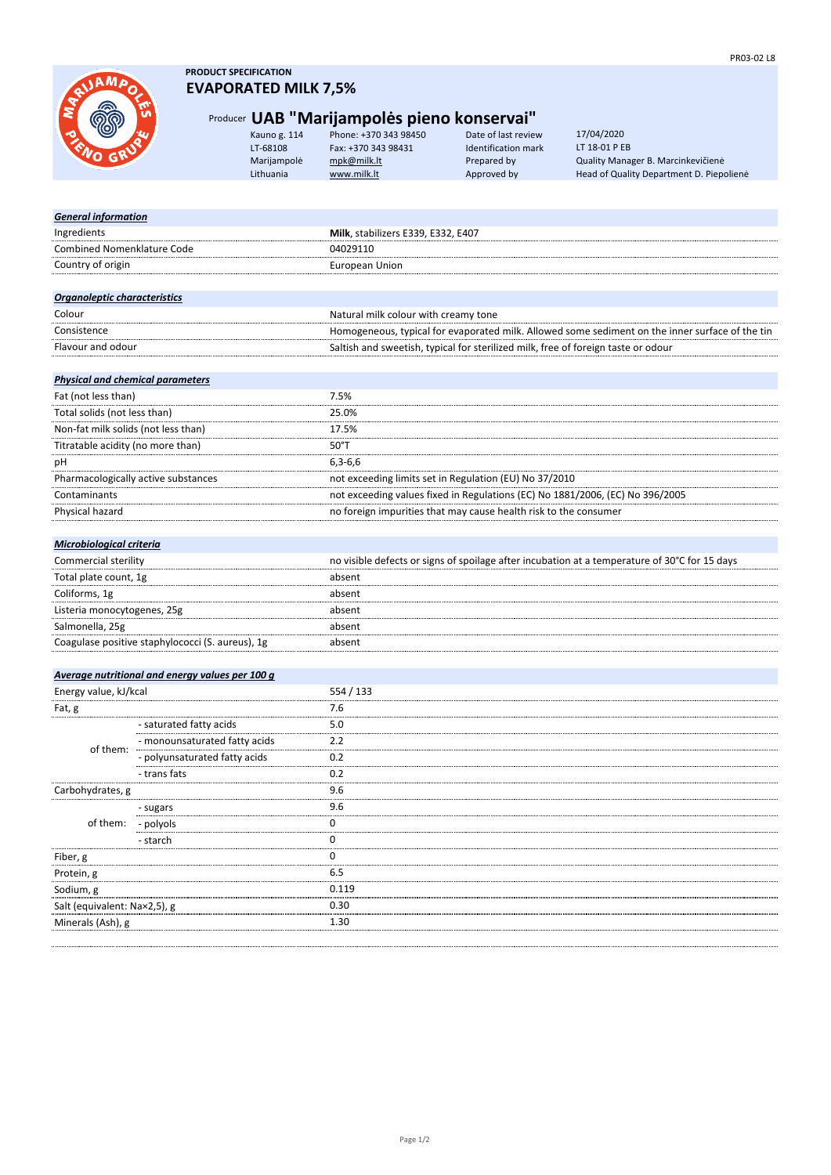

## **PRODUCT SPECIFICATION EVAPORATED MILK 7,5%**

## Producer **UAB "Marijampolės pieno konservai"**

Kauno g. 114 Phone: +370 343 98450 Date of last review LT-68108 Fax: +370 343 98431 Identification mark Marijampolė <u>[mpk@milk.lt](mailto:mpk@milk.lt)</u> Prepared by Quality Manager B. Marcinkevičienė<br>1999 Lithuania <u>www.milk.lt</u> Approved by Head of Quality Department D. Piepo

Head of Quality Department D. Piepolienė 17/04/2020 LT 18-01 P EB

| <b>General information</b>                       |                                                 |                                                                                                 |
|--------------------------------------------------|-------------------------------------------------|-------------------------------------------------------------------------------------------------|
| Ingredients                                      |                                                 | Milk, stabilizers E339, E332, E407                                                              |
| <b>Combined Nomenklature Code</b>                |                                                 | 04029110                                                                                        |
| Country of origin                                |                                                 | <b>European Union</b>                                                                           |
|                                                  |                                                 |                                                                                                 |
| Organoleptic characteristics                     |                                                 |                                                                                                 |
| Colour                                           |                                                 | Natural milk colour with creamy tone                                                            |
| Consistence                                      |                                                 | Homogeneous, typical for evaporated milk. Allowed some sediment on the inner surface of the tin |
| Flavour and odour                                |                                                 | Saltish and sweetish, typical for sterilized milk, free of foreign taste or odour               |
|                                                  |                                                 |                                                                                                 |
| <b>Physical and chemical parameters</b>          |                                                 |                                                                                                 |
| Fat (not less than)                              |                                                 | 7.5%                                                                                            |
| Total solids (not less than)                     |                                                 | 25.0%                                                                                           |
| Non-fat milk solids (not less than)              |                                                 | 17.5%                                                                                           |
| Titratable acidity (no more than)                |                                                 | $50^{\circ}$ T                                                                                  |
| рH                                               |                                                 | $6,3-6,6$                                                                                       |
| Pharmacologically active substances              |                                                 | not exceeding limits set in Regulation (EU) No 37/2010                                          |
| Contaminants                                     |                                                 | not exceeding values fixed in Regulations (EC) No 1881/2006, (EC) No 396/2005                   |
| Physical hazard                                  |                                                 | no foreign impurities that may cause health risk to the consumer                                |
|                                                  |                                                 |                                                                                                 |
| <b>Microbiological criteria</b>                  |                                                 |                                                                                                 |
| Commercial sterility                             |                                                 | no visible defects or signs of spoilage after incubation at a temperature of 30°C for 15 days   |
| Total plate count, 1g                            |                                                 | absent                                                                                          |
| Coliforms, 1g                                    |                                                 | absent                                                                                          |
| Listeria monocytogenes, 25g                      |                                                 | absent                                                                                          |
| Salmonella, 25g                                  |                                                 | absent                                                                                          |
| Coagulase positive staphylococci (S. aureus), 1g |                                                 | absent                                                                                          |
|                                                  |                                                 |                                                                                                 |
|                                                  | Average nutritional and energy values per 100 g |                                                                                                 |
| Energy value, kJ/kcal                            |                                                 | 554 / 133                                                                                       |
| Fat, g                                           |                                                 | 7.6                                                                                             |
|                                                  | - saturated fatty acids                         | 5.0                                                                                             |
|                                                  | - monounsaturated fatty acids                   | 2.2                                                                                             |
| of them:                                         | - polyunsaturated fatty acids                   | 0.2                                                                                             |
|                                                  | - trans fats                                    | 0.2                                                                                             |
| Carbohydrates, g                                 |                                                 | 9.6                                                                                             |
|                                                  | - sugars                                        | 9.6                                                                                             |
| of them:                                         | - polyols                                       | 0                                                                                               |
|                                                  | - starch                                        | 0                                                                                               |
| Fiber, g                                         |                                                 | 0                                                                                               |
| Protein, g                                       |                                                 | 6.5                                                                                             |
| Sodium, g                                        |                                                 | 0.119                                                                                           |
| Salt (equivalent: Na×2,5), g                     |                                                 | 0.30                                                                                            |
| Minerals (Ash), g                                |                                                 | 1.30                                                                                            |
|                                                  |                                                 |                                                                                                 |